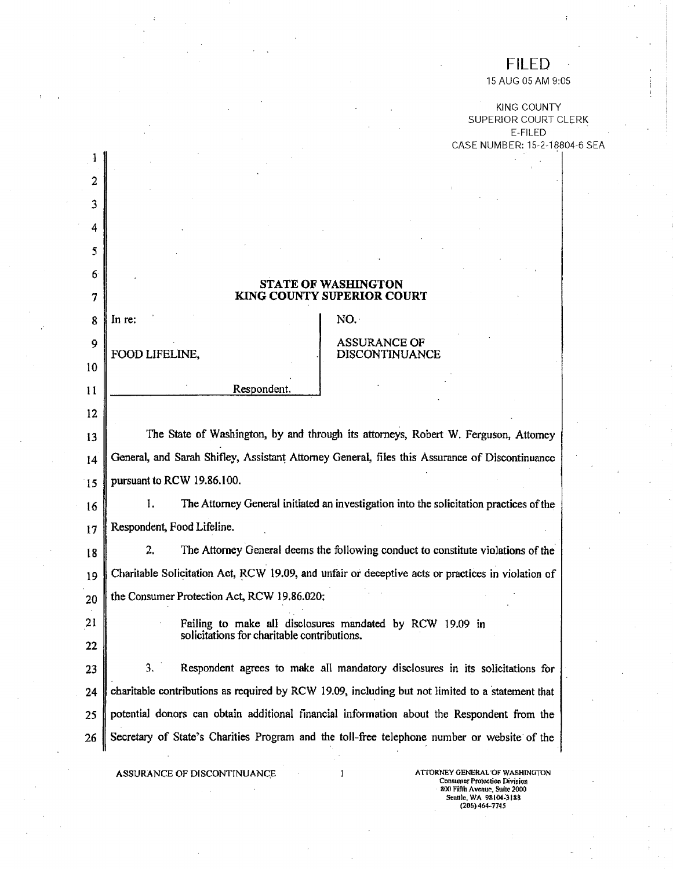## FILED

15 AUG 05 AM 9:05

KING COUNTY SUPERIOR COURT CLERK E- FIL ED CASE NUMBER: 15-2-18804-6 SEA

## **STATE OF WASHINGTON**  *7* **KING COUNTY SUPERIOR COURT**

2

 $\mathbf{1}$ 

*3* 

*4* 

*5* 

*6* 

10

Ii

12

 $8 \parallel$  In re:  $\parallel$  NO.

## 9 ASSURANCE OF **DISCONTINUANCE**

Respondent.

13 The State of Washington, by and through its attorneys, Robert W. Ferguson, Attorney 14 General, and Sarah Shifley, Assistant Attorney General, files this Assurance of Discontinuance *15* pursuant to RCW 19.86.100.

16 1. The Attorney General initiated an investigation into the solicitation practices of the 17 || Respondent, Food Lifeline.

18 2. The Attorney General deems the following conduct to constitute violations of the 19 Charitable Solicitation Act, RCW 19.09, and unfair or deceptive *acts* or practices in violation of  $20 \parallel$  the Consumer Protection Act, RCW 19.86.020;

22

21 Failing to make all disclosures mandated by RCW 19.09 in solicitations for charitable contributions.

23 3. Respondent agrees to make all mandatory disclosures in its solicitations for **24** charitable contributions as required by RCW 19,09, including but not limited to a statement that *25* potential donors can obtain additional financial information about the Respondent from the 26 Secretary of State's Charities Program and the toll-free telephone number or website of the

**ASSURANCE OF DISCONTINUANCE** 1 **ATTORNEY GENERAL OF WASHINGTON** Consumer Protection Division **8(X) fifth Avenue,** Suite **2000**  Sentile, WA 98104-3188 **(206)**464-7745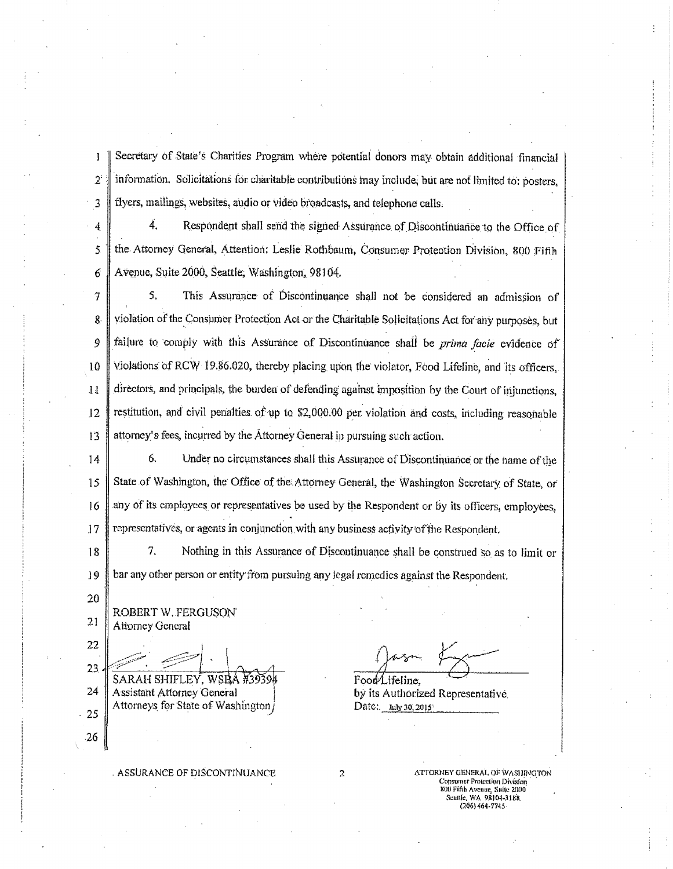Secretary of State's Charities Program where potential donors may obtain additional financial  $\mathbf{I}$ information. Solicitations for charitable contributions may include, but are not limited to: posters,  $2^{\circ}$ flyers, mailings, websites, audio or video broadcasts, and telephone calls. 3

Ä., Respondent shall send the signed Assurance of Discontinuance to the Office of 4 the Attorney General, Attention; Leslie Rothbaum, Consumer Protection Division, 800 Fifth  $\overline{5}$ Avenue, Suite 2000, Seattle, Washington, 98104. 6

 $5.$ This Assurance of Discontinuance shall not be considered an admission of  $\overline{\overline{I}}$ violation of the Consumer Protection Act or the Charitable Solicitations Act for any purposes, but 8 failure to comply with this Assurance of Discontinuance shall be prima facte evidence of 9 violations of RCW 19.86.020, thereby placing upon the violator, Food Lifeline, and its officers, 10 directors, and principals, the burden of defending against imposition by the Court of injunctions.  $11$ restitution, and civil penalties of up to \$2,000.00 per violation and costs, including reasonable  $12$ attorney's fees, incurred by the Attorney General in pursuing such action. 13

6. Under no circumstances shall this Assurance of Discontinuance or the name of the  $14$ State of Washington, the Office of the Attorney General, the Washington Secretary of State, or 15 any of its employees or representatives be used by the Respondent or by its officers, employees, 16 representatives, or agents in conjunction with any business activity of the Respondent. 17

7. 18 Nothing in this Assurance of Discontinuance shall be construed so as to limit or bar any other person or entity from pursuing any legal remedies against the Respondent. 19

20 21

26

ROBERT W. FERGUSON Attorney General

22  $23$ SARAH SHIFLEY, WSBA #39394  $24$ **Assistant Attorney General** Attorneys for State of Washington 25

Food Lifeline.

by its Authorized Representative Date: *hily* 30, 2015

ASSURANCE OF DISCONTINUANCE

 $\overline{2}$ 

ATTORNEY GENERAL OF WASHINGTON **Consumer Protection Division** 800 Fifth Avenue, Suite 2000<br>Seattle, WA 98104-3188  $(206)$  464-7745